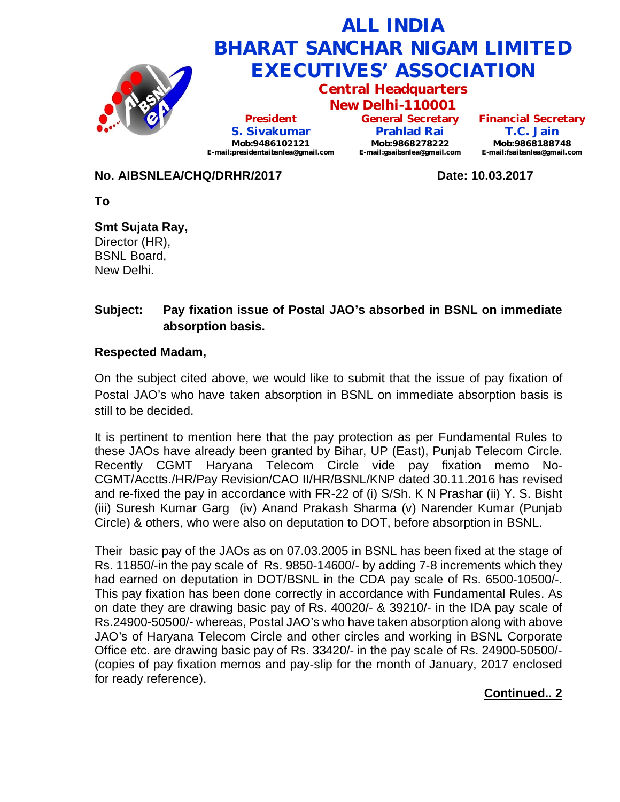

### **No. AIBSNLEA/CHQ/DRHR/2017 Date: 10.03.2017**

**To**

**Smt Sujata Ray,** Director (HR), BSNL Board, New Delhi.

# **Subject: Pay fixation issue of Postal JAO's absorbed in BSNL on immediate absorption basis.**

#### **Respected Madam,**

On the subject cited above, we would like to submit that the issue of pay fixation of Postal JAO's who have taken absorption in BSNL on immediate absorption basis is still to be decided.

It is pertinent to mention here that the pay protection as per Fundamental Rules to these JAOs have already been granted by Bihar, UP (East), Punjab Telecom Circle. Recently CGMT Haryana Telecom Circle vide pay fixation memo No-CGMT/Acctts./HR/Pay Revision/CAO II/HR/BSNL/KNP dated 30.11.2016 has revised and re-fixed the pay in accordance with FR-22 of (i) S/Sh. K N Prashar (ii) Y. S. Bisht (iii) Suresh Kumar Garg (iv) Anand Prakash Sharma (v) Narender Kumar (Punjab Circle) & others, who were also on deputation to DOT, before absorption in BSNL.

Their basic pay of the JAOs as on 07.03.2005 in BSNL has been fixed at the stage of Rs. 11850/-in the pay scale of Rs. 9850-14600/- by adding 7-8 increments which they had earned on deputation in DOT/BSNL in the CDA pay scale of Rs. 6500-10500/-. This pay fixation has been done correctly in accordance with Fundamental Rules. As on date they are drawing basic pay of Rs. 40020/- & 39210/- in the IDA pay scale of Rs.24900-50500/- whereas, Postal JAO's who have taken absorption along with above JAO's of Haryana Telecom Circle and other circles and working in BSNL Corporate Office etc. are drawing basic pay of Rs. 33420/- in the pay scale of Rs. 24900-50500/- (copies of pay fixation memos and pay-slip for the month of January, 2017 enclosed for ready reference).

## **Continued.. 2**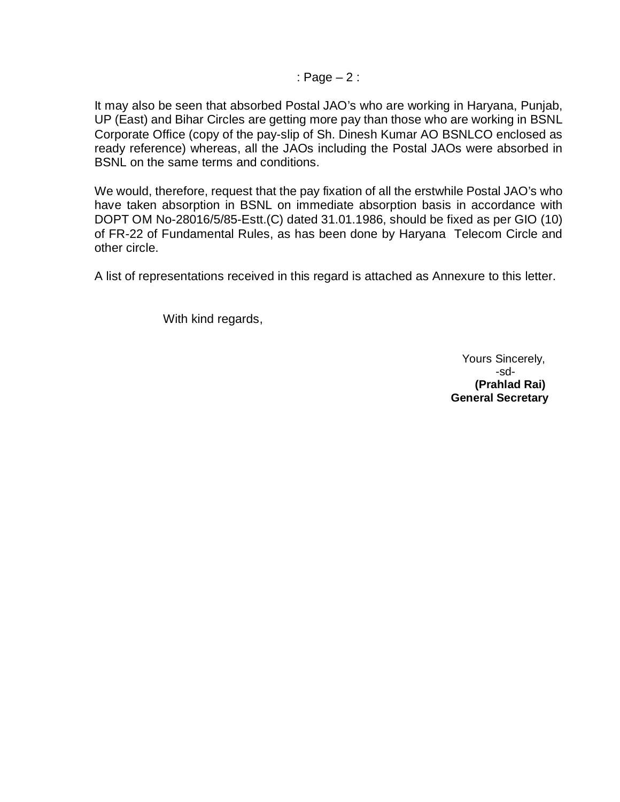: Page – 2 :

It may also be seen that absorbed Postal JAO's who are working in Haryana, Punjab, UP (East) and Bihar Circles are getting more pay than those who are working in BSNL Corporate Office (copy of the pay-slip of Sh. Dinesh Kumar AO BSNLCO enclosed as ready reference) whereas, all the JAOs including the Postal JAOs were absorbed in BSNL on the same terms and conditions.

We would, therefore, request that the pay fixation of all the erstwhile Postal JAO's who have taken absorption in BSNL on immediate absorption basis in accordance with DOPT OM No-28016/5/85-Estt.(C) dated 31.01.1986, should be fixed as per GIO (10) of FR-22 of Fundamental Rules, as has been done by Haryana Telecom Circle and other circle.

A list of representations received in this regard is attached as Annexure to this letter.

With kind regards,

Yours Sincerely, -sd- **(Prahlad Rai) General Secretary**